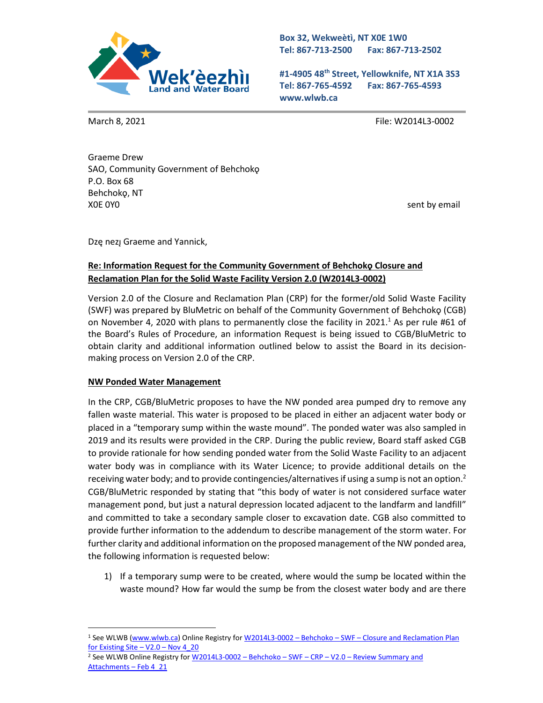

**Box 32, Wekweètì, NT X0E 1W0 Tel: 867-713-2500 Fax: 867-713-2502** 

**#1-4905 48th Street, Yellowknife, NT X1A 3S3 Tel: 867-765-4592 Fax: 867-765-4593 www.wlwb.ca**

March 8, 2021 **File: W2014L3-0002** 

Graeme Drew SAO, Community Government of Behchokǫ P.O. Box 68 Behchokǫ, NT XOE 0YO SENTEN AND THE SENTENCE OF THE SENTENCE OF THE SENTENCE OF THE SENTENCE OF THE SENTENCE OF THE SENTENCE OF THE SENTENCE OF THE SENTENCE OF THE SENTENCE OF THE SENTENCE OF THE SENTENCE OF THE SENTENCE OF THE SENTENC

Dzę nezį Graeme and Yannick,

## **Re: Information Request for the Community Government of Behchokǫ Closure and Reclamation Plan for the Solid Waste Facility Version 2.0 (W2014L3-0002)**

Version 2.0 of the Closure and Reclamation Plan (CRP) for the former/old Solid Waste Facility (SWF) was prepared by BluMetric on behalf of the Community Government of Behchokǫ (CGB) on November 4, 2020 with plans to permanently close the facility in 2021.<sup>1</sup> As per rule #61 of the Board's Rules of Procedure, an information Request is being issued to CGB/BluMetric to obtain clarity and additional information outlined below to assist the Board in its decisionmaking process on Version 2.0 of the CRP.

## **NW Ponded Water Management**

In the CRP, CGB/BluMetric proposes to have the NW ponded area pumped dry to remove any fallen waste material. This water is proposed to be placed in either an adjacent water body or placed in a "temporary sump within the waste mound". The ponded water was also sampled in 2019 and its results were provided in the CRP. During the public review, Board staff asked CGB to provide rationale for how sending ponded water from the Solid Waste Facility to an adjacent water body was in compliance with its Water Licence; to provide additional details on the receiving water body; and to provide contingencies/alternatives if using a sump is not an option.<sup>2</sup> CGB/BluMetric responded by stating that "this body of water is not considered surface water management pond, but just a natural depression located adjacent to the landfarm and landfill" and committed to take a secondary sample closer to excavation date. CGB also committed to provide further information to the addendum to describe management of the storm water. For further clarity and additional information on the proposed management of the NW ponded area, the following information is requested below:

1) If a temporary sump were to be created, where would the sump be located within the waste mound? How far would the sump be from the closest water body and are there

<sup>1</sup> See WLWB [\(www.wlwb.ca\)](http://www.wlwb.ca/) Online Registry for W2014L3-0002 – Behchoko – SWF – [Closure and Reclamation Plan](http://registry.mvlwb.ca/Documents/W2014L3-0002/W2014L3-0002%20-%20Behchoko%20-%20SWF%20-%20Closure%20and%20Reclamation%20Plan%20for%20Existing%20Site%20-%20V2.0%20-%20Nov%204_20.pdf)  [for Existing Site](http://registry.mvlwb.ca/Documents/W2014L3-0002/W2014L3-0002%20-%20Behchoko%20-%20SWF%20-%20Closure%20and%20Reclamation%20Plan%20for%20Existing%20Site%20-%20V2.0%20-%20Nov%204_20.pdf) –  $V2.0$  – Nov 4\_20

<sup>&</sup>lt;sup>2</sup> See WLWB Online Registry for <u>W2014L3-0002 - Behchoko - SWF - CRP - V2.0 - Review Summary and</u> [Attachments](http://registry.mvlwb.ca/Documents/W2014L3-0002/W2014L3-0002%20-%20Behchoko%20-%20SWF%20-%20CRP%20-%20V2.0%20-%20Review%20Summary%20and%20Attachments%20-%20Feb%204_21.pdf) – Feb 4\_21